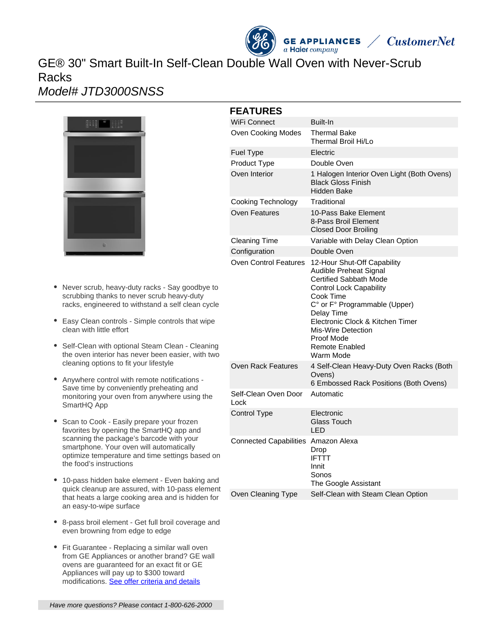# GE® 30" Smart Built-In Self-Clean Double Wall Oven with Never-Scrub Racks

# Model# JTD3000SNSS



- Never scrub, heavy-duty racks Say goodbye to scrubbing thanks to never scrub heavy-duty racks, engineered to withstand a self clean cycle
- Easy Clean controls Simple controls that wipe clean with little effort
- Self-Clean with optional Steam Clean Cleaning the oven interior has never been easier, with two cleaning options to fit your lifestyle
- Anywhere control with remote notifications Save time by conveniently preheating and monitoring your oven from anywhere using the SmartHQ App
- Scan to Cook Easily prepare your frozen favorites by opening the SmartHQ app and scanning the package's barcode with your smartphone. Your oven will automatically optimize temperature and time settings based on the food's instructions
- 10-pass hidden bake element Even baking and quick cleanup are assured, with 10-pass element that heats a large cooking area and is hidden for an easy-to-wipe surface
- 8-pass broil element Get full broil coverage and even browning from edge to edge
- Fit Guarantee Replacing a similar wall oven from GE Appliances or another brand? GE wall ovens are guaranteed for an exact fit or GE Appliances will pay up to \$300 toward modifications. [See offer criteria and details](http://www.geappliances.com/ge-fits)

|  | <b>FEATURES</b>                     |                                                                                                                                                                                                                                                                                                    |
|--|-------------------------------------|----------------------------------------------------------------------------------------------------------------------------------------------------------------------------------------------------------------------------------------------------------------------------------------------------|
|  | <b>WiFi Connect</b>                 | Built-In                                                                                                                                                                                                                                                                                           |
|  | <b>Oven Cooking Modes</b>           | <b>Thermal Bake</b><br>Thermal Broil Hi/Lo                                                                                                                                                                                                                                                         |
|  | <b>Fuel Type</b>                    | Electric                                                                                                                                                                                                                                                                                           |
|  | Product Type                        | Double Oven                                                                                                                                                                                                                                                                                        |
|  | Oven Interior                       | 1 Halogen Interior Oven Light (Both Ovens)<br><b>Black Gloss Finish</b><br>Hidden Bake                                                                                                                                                                                                             |
|  | Cooking Technology                  | Traditional                                                                                                                                                                                                                                                                                        |
|  | Oven Features                       | 10-Pass Bake Element<br>8-Pass Broil Element<br><b>Closed Door Broiling</b>                                                                                                                                                                                                                        |
|  | <b>Cleaning Time</b>                | Variable with Delay Clean Option                                                                                                                                                                                                                                                                   |
|  | Configuration                       | Double Oven                                                                                                                                                                                                                                                                                        |
|  | <b>Oven Control Features</b>        | 12-Hour Shut-Off Capability<br>Audible Preheat Signal<br><b>Certified Sabbath Mode</b><br><b>Control Lock Capability</b><br>Cook Time<br>C° or F° Programmable (Upper)<br>Delay Time<br>Electronic Clock & Kitchen Timer<br>Mis-Wire Detection<br>Proof Mode<br><b>Remote Enabled</b><br>Warm Mode |
|  | Oven Rack Features                  | 4 Self-Clean Heavy-Duty Oven Racks (Both<br>Ovens)<br>6 Embossed Rack Positions (Both Ovens)                                                                                                                                                                                                       |
|  | Self-Clean Oven Door<br>Lock        | Automatic                                                                                                                                                                                                                                                                                          |
|  | Control Type                        | Electronic<br><b>Glass Touch</b><br>LED.                                                                                                                                                                                                                                                           |
|  | Connected Capabilities Amazon Alexa | Drop<br><b>IFTTT</b><br>Innit<br>Sonos                                                                                                                                                                                                                                                             |

**GE APPLIANCES**  $a$  Haier company

**CustomerNet** 

The Google Assistant

Oven Cleaning Type Self-Clean with Steam Clean Option